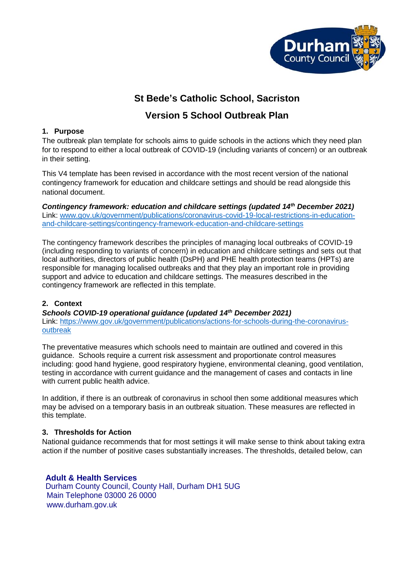

# **St Bede's Catholic School, Sacriston**

## **Version 5 School Outbreak Plan**

### **1. Purpose**

The outbreak plan template for schools aims to guide schools in the actions which they need plan for to respond to either a local outbreak of COVID-19 (including variants of concern) or an outbreak in their setting.

This V4 template has been revised in accordance with the most recent version of the national contingency framework for education and childcare settings and should be read alongside this national document.

*Contingency framework: education and childcare settings (updated 14th December 2021)* Link: [www.gov.uk/government/publications/coronavirus-covid-19-local-restrictions-in-education](http://www.gov.uk/government/publications/coronavirus-covid-19-local-restrictions-in-education-and-childcare-settings/contingency-framework-education-and-childcare-settings)[and-childcare-settings/contingency-framework-education-and-childcare-settings](http://www.gov.uk/government/publications/coronavirus-covid-19-local-restrictions-in-education-and-childcare-settings/contingency-framework-education-and-childcare-settings)

The contingency framework describes the principles of managing local outbreaks of COVID-19 (including responding to variants of concern) in education and childcare settings and sets out that local authorities, directors of public health (DsPH) and PHE health protection teams (HPTs) are responsible for managing localised outbreaks and that they play an important role in providing support and advice to education and childcare settings. The measures described in the contingency framework are reflected in this template.

## **2. Context**

*Schools COVID-19 operational guidance (updated 14th December 2021)* 

Link: [https://www.gov.uk/government/publications/actions-for-schools-during-the-coronavirus](https://www.gov.uk/government/publications/actions-for-schools-during-the-coronavirus-outbreak)[outbreak](https://www.gov.uk/government/publications/actions-for-schools-during-the-coronavirus-outbreak)

The preventative measures which schools need to maintain are outlined and covered in this guidance. Schools require a current risk assessment and proportionate control measures including: good hand hygiene, good respiratory hygiene, environmental cleaning, good ventilation, testing in accordance with current guidance and the management of cases and contacts in line with current public health advice.

In addition, if there is an outbreak of coronavirus in school then some additional measures which may be advised on a temporary basis in an outbreak situation. These measures are reflected in this template.

#### **3. Thresholds for Action**

National guidance recommends that for most settings it will make sense to think about taking extra action if the number of positive cases substantially increases. The thresholds, detailed below, can

## **Adult & Health Services**

Durham County Council, County Hall, Durham DH1 5UG Main Telephone 03000 26 0000 www.durham.gov.uk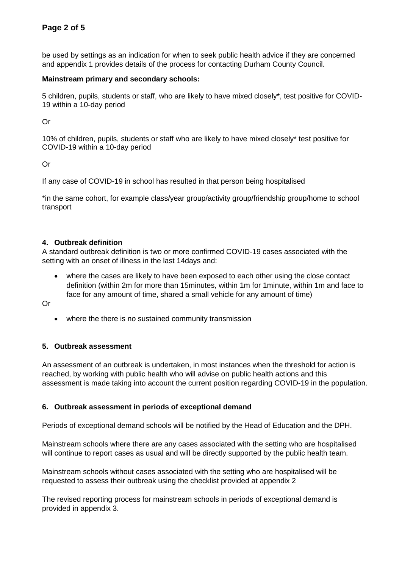be used by settings as an indication for when to seek public health advice if they are concerned and appendix 1 provides details of the process for contacting Durham County Council.

#### **Mainstream primary and secondary schools:**

5 children, pupils, students or staff, who are likely to have mixed closely\*, test positive for COVID-19 within a 10-day period

Or

10% of children, pupils, students or staff who are likely to have mixed closely\* test positive for COVID-19 within a 10-day period

Or

If any case of COVID-19 in school has resulted in that person being hospitalised

\*in the same cohort, for example class/year group/activity group/friendship group/home to school transport

#### **4. Outbreak definition**

A standard outbreak definition is two or more confirmed COVID-19 cases associated with the setting with an onset of illness in the last 14days and:

 where the cases are likely to have been exposed to each other using the close contact definition (within 2m for more than 15minutes, within 1m for 1minute, within 1m and face to face for any amount of time, shared a small vehicle for any amount of time)

Or

where the there is no sustained community transmission

#### **5. Outbreak assessment**

An assessment of an outbreak is undertaken, in most instances when the threshold for action is reached, by working with public health who will advise on public health actions and this assessment is made taking into account the current position regarding COVID-19 in the population.

#### **6. Outbreak assessment in periods of exceptional demand**

Periods of exceptional demand schools will be notified by the Head of Education and the DPH.

Mainstream schools where there are any cases associated with the setting who are hospitalised will continue to report cases as usual and will be directly supported by the public health team.

Mainstream schools without cases associated with the setting who are hospitalised will be requested to assess their outbreak using the checklist provided at appendix 2

The revised reporting process for mainstream schools in periods of exceptional demand is provided in appendix 3.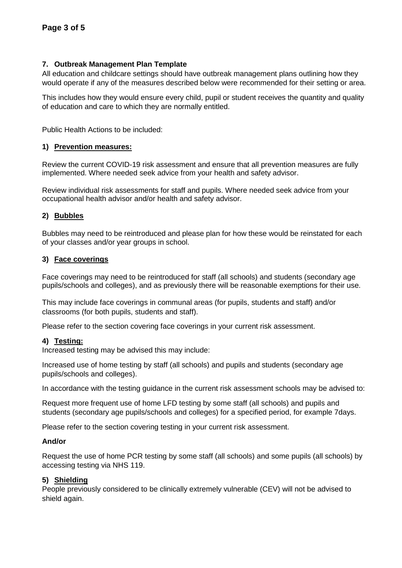#### **7. Outbreak Management Plan Template**

All education and childcare settings should have outbreak management plans outlining how they would operate if any of the measures described below were recommended for their setting or area.

This includes how they would ensure every child, pupil or student receives the quantity and quality of education and care to which they are normally entitled.

Public Health Actions to be included:

#### **1) Prevention measures:**

Review the current COVID-19 risk assessment and ensure that all prevention measures are fully implemented. Where needed seek advice from your health and safety advisor.

Review individual risk assessments for staff and pupils. Where needed seek advice from your occupational health advisor and/or health and safety advisor.

#### **2) Bubbles**

Bubbles may need to be reintroduced and please plan for how these would be reinstated for each of your classes and/or year groups in school.

#### **3) Face coverings**

Face coverings may need to be reintroduced for staff (all schools) and students (secondary age pupils/schools and colleges), and as previously there will be reasonable exemptions for their use.

This may include face coverings in communal areas (for pupils, students and staff) and/or classrooms (for both pupils, students and staff).

Please refer to the section covering face coverings in your current risk assessment.

#### **4) Testing:**

Increased testing may be advised this may include:

Increased use of home testing by staff (all schools) and pupils and students (secondary age pupils/schools and colleges).

In accordance with the testing guidance in the current risk assessment schools may be advised to:

Request more frequent use of home LFD testing by some staff (all schools) and pupils and students (secondary age pupils/schools and colleges) for a specified period, for example 7days.

Please refer to the section covering testing in your current risk assessment.

#### **And/or**

Request the use of home PCR testing by some staff (all schools) and some pupils (all schools) by accessing testing via NHS 119.

#### **5) Shielding**

People previously considered to be clinically extremely vulnerable (CEV) will not be advised to shield again.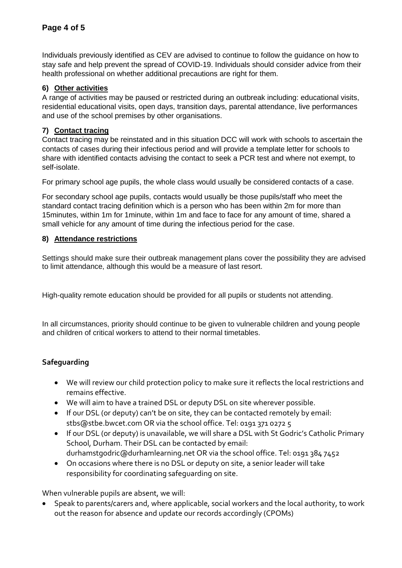Individuals previously identified as CEV are advised to continue to follow the guidance on how to stay safe and help prevent the spread of COVID-19. Individuals should consider advice from their health professional on whether additional precautions are right for them.

### **6) Other activities**

A range of activities may be paused or restricted during an outbreak including: educational visits, residential educational visits, open days, transition days, parental attendance, live performances and use of the school premises by other organisations.

### **7) Contact tracing**

Contact tracing may be reinstated and in this situation DCC will work with schools to ascertain the contacts of cases during their infectious period and will provide a template letter for schools to share with identified contacts advising the contact to seek a PCR test and where not exempt, to self-isolate.

For primary school age pupils, the whole class would usually be considered contacts of a case.

For secondary school age pupils, contacts would usually be those pupils/staff who meet the standard contact tracing definition which is a person who has been within 2m for more than 15minutes, within 1m for 1minute, within 1m and face to face for any amount of time, shared a small vehicle for any amount of time during the infectious period for the case.

#### **8) Attendance restrictions**

Settings should make sure their outbreak management plans cover the possibility they are advised to limit attendance, although this would be a measure of last resort.

High-quality remote education should be provided for all pupils or students not attending.

In all circumstances, priority should continue to be given to vulnerable children and young people and children of critical workers to attend to their normal timetables.

## **Safeguarding**

- We will review our child protection policy to make sure it reflects the local restrictions and remains effective.
- We will aim to have a trained DSL or deputy DSL on site wherever possible.
- If our DSL (or deputy) can't be on site, they can be contacted remotely by email: stbs@stbe.bwcet.com OR via the school office. Tel: 0191 371 0272 5
- If our DSL (or deputy) is unavailable, we will share a DSL with St Godric's Catholic Primary School, Durham. Their DSL can be contacted by email: durhamstgodric@durhamlearning.net OR via the school office. Tel: 0191 384 7452
- On occasions where there is no DSL or deputy on site, a senior leader will take responsibility for coordinating safeguarding on site.

When vulnerable pupils are absent, we will:

 Speak to parents/carers and, where applicable, social workers and the local authority, to work out the reason for absence and update our records accordingly (CPOMs)